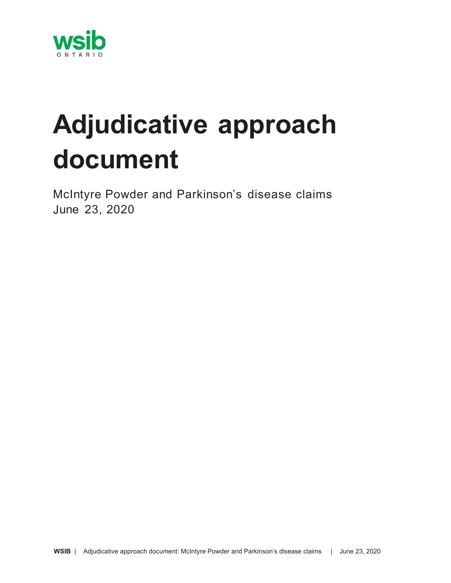

# **Adjudicative approach document**

McIntyre Powder and Parkinson's disease claims June 23, 2020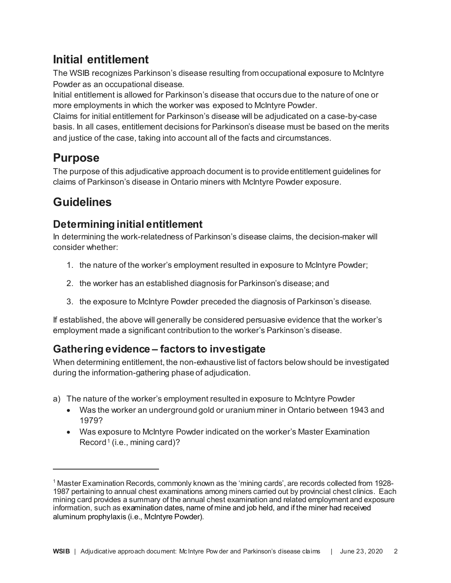# **Initial entitlement**

The WSIB recognizes Parkinson's disease resulting from occupational exposure to McIntyre Powder as an occupational disease.

Initial entitlement is allowed for Parkinson's disease that occurs due to the nature of one or more employments in which the worker was exposed to McIntyre Powder.

Claims for initial entitlement for Parkinson's disease will be adjudicated on a case-by-case basis. In all cases, entitlement decisions for Parkinson's disease must be based on the merits and justice of the case, taking into account all of the facts and circumstances.

## **Purpose**

The purpose of this adjudicative approach document is to provide entitlement guidelines for claims of Parkinson's disease in Ontario miners with McIntyre Powder exposure.

# **Guidelines**

### **Determining initial entitlement**

In determining the work-relatedness of Parkinson's disease claims, the decision-maker will consider whether:

- 1. the nature of the worker's employment resulted in exposure to McIntyre Powder;
- 2. the worker has an established diagnosis for Parkinson's disease; and
- 3. the exposure to McIntyre Powder preceded the diagnosis of Parkinson's disease.

If established, the above will generally be considered persuasive evidence that the worker's employment made a significant contribution to the worker's Parkinson's disease.

### **Gathering evidence – factors to investigate**

When determining entitlement, the non-exhaustive list of factors below should be investigated during the information-gathering phase of adjudication.

- a) The nature of the worker's employment resulted in exposure to McIntyre Powder
	- Was the worker an underground gold or uranium miner in Ontario between 1943 and 1979?
	- Was exposure to McIntyre Powder indicated on the worker's Master Examination  $Record<sup>1</sup>$  (i.e., mining card)?

<sup>1</sup> Master Examination Records, commonly known as the 'mining cards', are records collected from 1928- 1987 pertaining to annual chest examinations among miners carried out by provincial chest clinics. Each mining card provides a summary of the annual chest examination and related employment and exposure information, such as examination dates, name of mine and job held, and if the miner had received aluminum prophylaxis (i.e., McIntyre Powder).